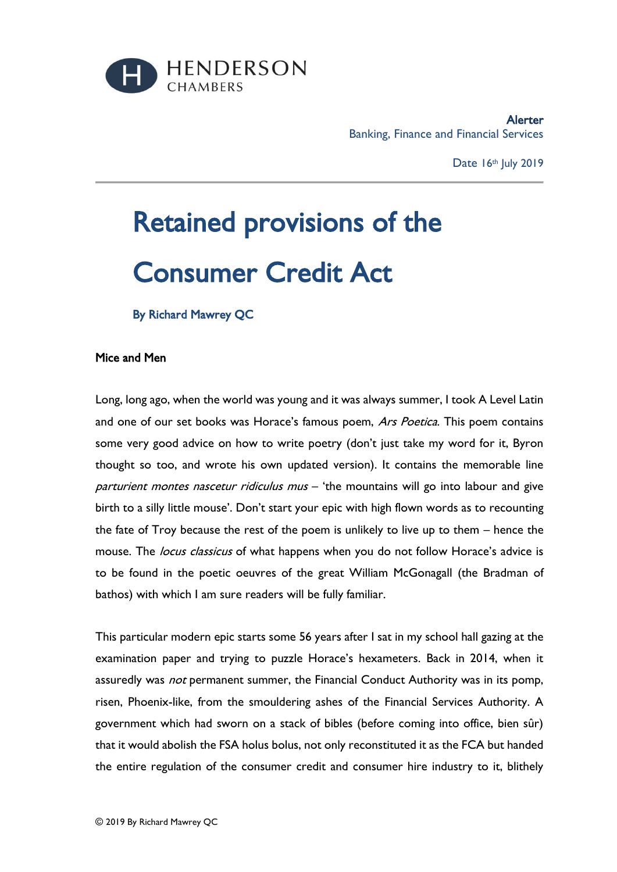

Alerter Banking, Finance and Financial Services

Date 16th July 2019

## Retained provisions of the Consumer Credit Act

By Richard Mawrey QC

## Mice and Men

Long, long ago, when the world was young and it was always summer, I took A Level Latin and one of our set books was Horace's famous poem, Ars Poetica. This poem contains some very good advice on how to write poetry (don't just take my word for it, Byron thought so too, and wrote his own updated version). It contains the memorable line parturient montes nascetur ridiculus mus - 'the mountains will go into labour and give birth to a silly little mouse'. Don't start your epic with high flown words as to recounting the fate of Troy because the rest of the poem is unlikely to live up to them – hence the mouse. The *locus classicus* of what happens when you do not follow Horace's advice is to be found in the poetic oeuvres of the great William McGonagall (the Bradman of bathos) with which I am sure readers will be fully familiar.

This particular modern epic starts some 56 years after I sat in my school hall gazing at the examination paper and trying to puzzle Horace's hexameters. Back in 2014, when it assuredly was *not* permanent summer, the Financial Conduct Authority was in its pomp, risen, Phoenix-like, from the smouldering ashes of the Financial Services Authority. A government which had sworn on a stack of bibles (before coming into office, bien sûr) that it would abolish the FSA holus bolus, not only reconstituted it as the FCA but handed the entire regulation of the consumer credit and consumer hire industry to it, blithely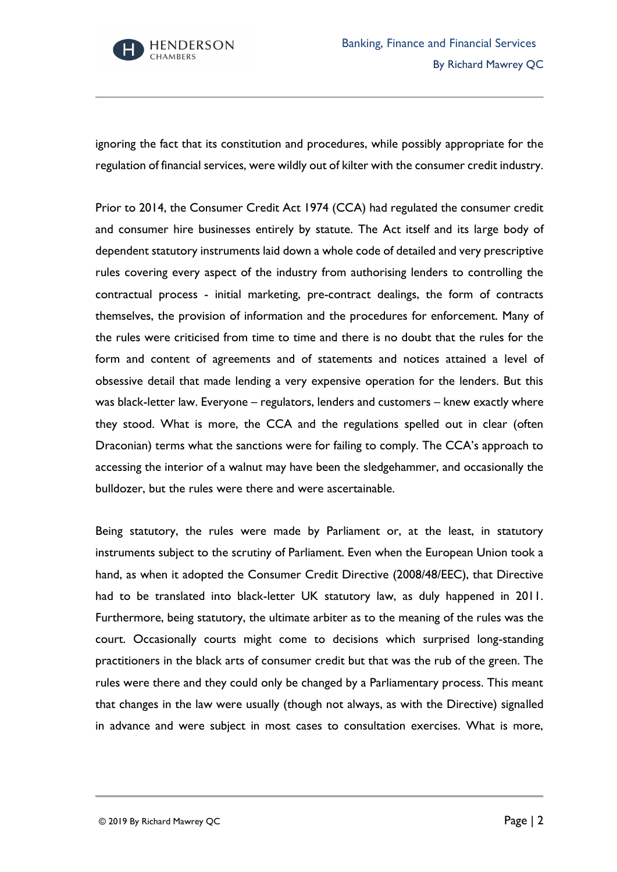

ignoring the fact that its constitution and procedures, while possibly appropriate for the regulation of financial services, were wildly out of kilter with the consumer credit industry.

Prior to 2014, the Consumer Credit Act 1974 (CCA) had regulated the consumer credit and consumer hire businesses entirely by statute. The Act itself and its large body of dependent statutory instruments laid down a whole code of detailed and very prescriptive rules covering every aspect of the industry from authorising lenders to controlling the contractual process - initial marketing, pre-contract dealings, the form of contracts themselves, the provision of information and the procedures for enforcement. Many of the rules were criticised from time to time and there is no doubt that the rules for the form and content of agreements and of statements and notices attained a level of obsessive detail that made lending a very expensive operation for the lenders. But this was black-letter law. Everyone – regulators, lenders and customers – knew exactly where they stood. What is more, the CCA and the regulations spelled out in clear (often Draconian) terms what the sanctions were for failing to comply. The CCA's approach to accessing the interior of a walnut may have been the sledgehammer, and occasionally the bulldozer, but the rules were there and were ascertainable.

Being statutory, the rules were made by Parliament or, at the least, in statutory instruments subject to the scrutiny of Parliament. Even when the European Union took a hand, as when it adopted the Consumer Credit Directive (2008/48/EEC), that Directive had to be translated into black-letter UK statutory law, as duly happened in 2011. Furthermore, being statutory, the ultimate arbiter as to the meaning of the rules was the court. Occasionally courts might come to decisions which surprised long-standing practitioners in the black arts of consumer credit but that was the rub of the green. The rules were there and they could only be changed by a Parliamentary process. This meant that changes in the law were usually (though not always, as with the Directive) signalled in advance and were subject in most cases to consultation exercises. What is more,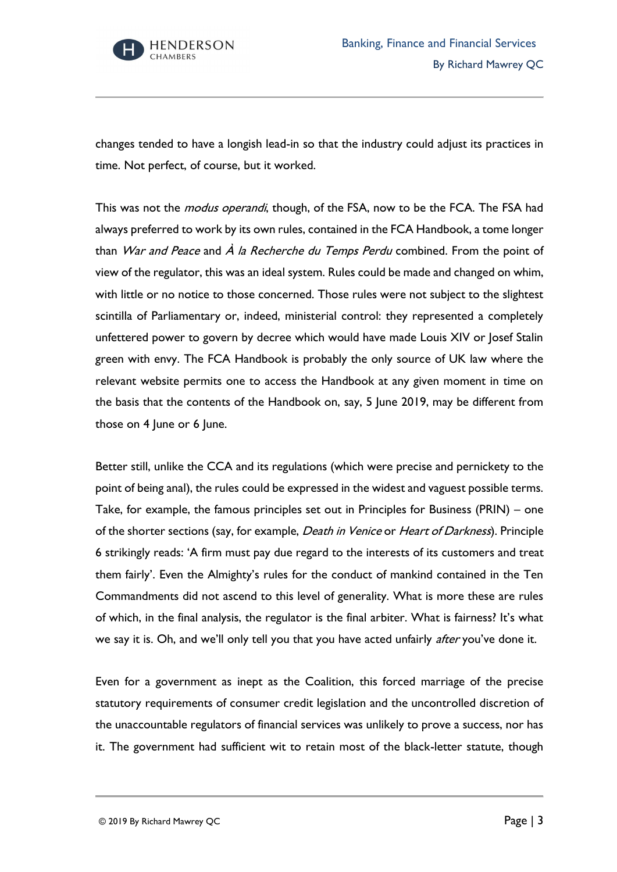

changes tended to have a longish lead-in so that the industry could adjust its practices in time. Not perfect, of course, but it worked.

This was not the *modus operandi*, though, of the FSA, now to be the FCA. The FSA had always preferred to work by its own rules, contained in the FCA Handbook, a tome longer than *War and Peace* and  $\overrightarrow{A}$  la Recherche du Temps Perdu combined. From the point of view of the regulator, this was an ideal system. Rules could be made and changed on whim, with little or no notice to those concerned. Those rules were not subject to the slightest scintilla of Parliamentary or, indeed, ministerial control: they represented a completely unfettered power to govern by decree which would have made Louis XIV or Josef Stalin green with envy. The FCA Handbook is probably the only source of UK law where the relevant website permits one to access the Handbook at any given moment in time on the basis that the contents of the Handbook on, say, 5 June 2019, may be different from those on 4 June or 6 June.

Better still, unlike the CCA and its regulations (which were precise and pernickety to the point of being anal), the rules could be expressed in the widest and vaguest possible terms. Take, for example, the famous principles set out in Principles for Business (PRIN) – one of the shorter sections (say, for example, *Death in Venice* or *Heart of Darkness*). Principle 6 strikingly reads: 'A firm must pay due regard to the interests of its customers and treat them fairly'. Even the Almighty's rules for the conduct of mankind contained in the Ten Commandments did not ascend to this level of generality. What is more these are rules of which, in the final analysis, the regulator is the final arbiter. What is fairness? It's what we say it is. Oh, and we'll only tell you that you have acted unfairly after you've done it.

Even for a government as inept as the Coalition, this forced marriage of the precise statutory requirements of consumer credit legislation and the uncontrolled discretion of the unaccountable regulators of financial services was unlikely to prove a success, nor has it. The government had sufficient wit to retain most of the black-letter statute, though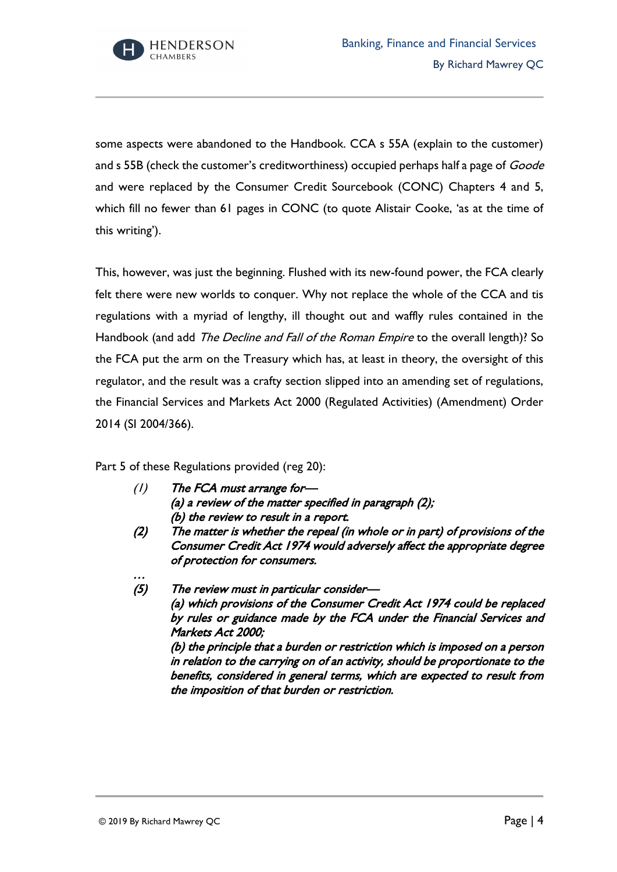

some aspects were abandoned to the Handbook. CCA s 55A (explain to the customer) and s 55B (check the customer's creditworthiness) occupied perhaps half a page of Goode and were replaced by the Consumer Credit Sourcebook (CONC) Chapters 4 and 5, which fill no fewer than 61 pages in CONC (to quote Alistair Cooke, 'as at the time of this writing').

This, however, was just the beginning. Flushed with its new-found power, the FCA clearly felt there were new worlds to conquer. Why not replace the whole of the CCA and tis regulations with a myriad of lengthy, ill thought out and waffly rules contained in the Handbook (and add The Decline and Fall of the Roman Empire to the overall length)? So the FCA put the arm on the Treasury which has, at least in theory, the oversight of this regulator, and the result was a crafty section slipped into an amending set of regulations, the Financial Services and Markets Act 2000 (Regulated Activities) (Amendment) Order 2014 (SI 2004/366).

Part 5 of these Regulations provided (reg 20):

- (1) The FCA must arrange for— (a) a review of the matter specified in paragraph (2); (b) the review to result in a report.
- (2) The matter is whether the repeal (in whole or in part) of provisions of the Consumer Credit Act 1974 would adversely affect the appropriate degree of protection for consumers.
- (5) The review must in particular consider— (a) which provisions of the Consumer Credit Act 1974 could be replaced by rules or guidance made by the FCA under the Financial Services and Markets Act 2000; (b) the principle that a burden or restriction which is imposed on a person in relation to the carrying on of an activity, should be proportionate to the benefits, considered in general terms, which are expected to result from the imposition of that burden or restriction.

…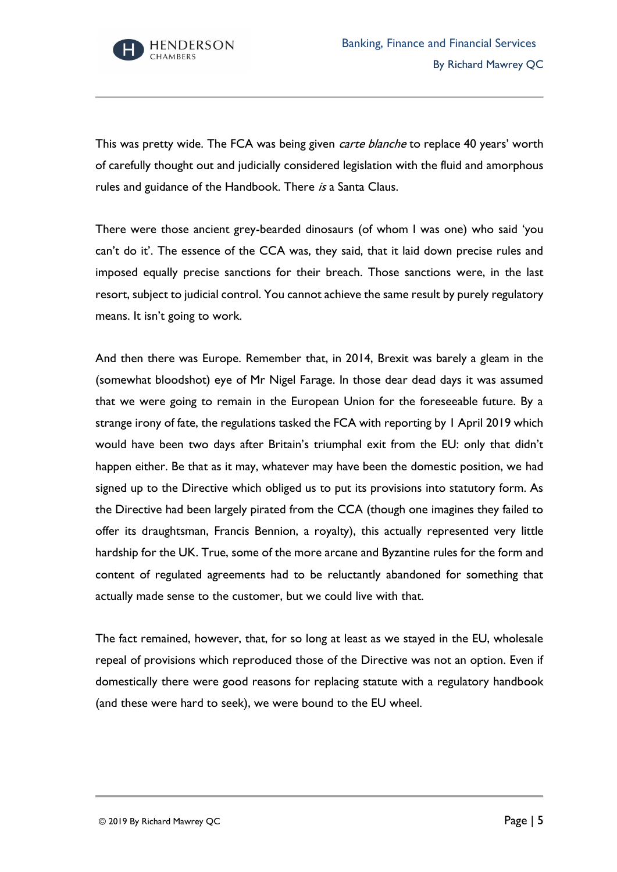

This was pretty wide. The FCA was being given *carte blanche* to replace 40 years' worth of carefully thought out and judicially considered legislation with the fluid and amorphous rules and guidance of the Handbook. There is a Santa Claus.

There were those ancient grey-bearded dinosaurs (of whom I was one) who said 'you can't do it'. The essence of the CCA was, they said, that it laid down precise rules and imposed equally precise sanctions for their breach. Those sanctions were, in the last resort, subject to judicial control. You cannot achieve the same result by purely regulatory means. It isn't going to work.

And then there was Europe. Remember that, in 2014, Brexit was barely a gleam in the (somewhat bloodshot) eye of Mr Nigel Farage. In those dear dead days it was assumed that we were going to remain in the European Union for the foreseeable future. By a strange irony of fate, the regulations tasked the FCA with reporting by 1 April 2019 which would have been two days after Britain's triumphal exit from the EU: only that didn't happen either. Be that as it may, whatever may have been the domestic position, we had signed up to the Directive which obliged us to put its provisions into statutory form. As the Directive had been largely pirated from the CCA (though one imagines they failed to offer its draughtsman, Francis Bennion, a royalty), this actually represented very little hardship for the UK. True, some of the more arcane and Byzantine rules for the form and content of regulated agreements had to be reluctantly abandoned for something that actually made sense to the customer, but we could live with that.

The fact remained, however, that, for so long at least as we stayed in the EU, wholesale repeal of provisions which reproduced those of the Directive was not an option. Even if domestically there were good reasons for replacing statute with a regulatory handbook (and these were hard to seek), we were bound to the EU wheel.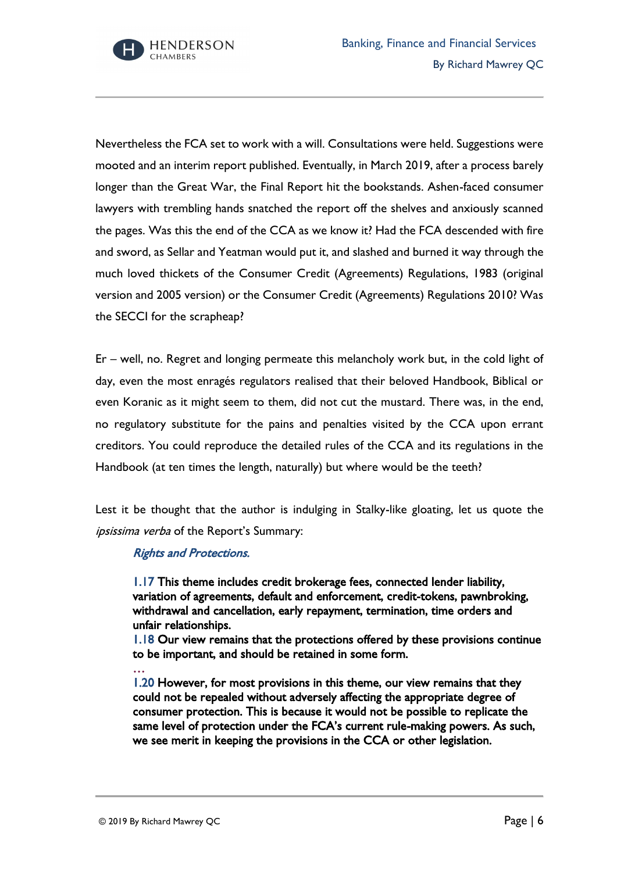

Nevertheless the FCA set to work with a will. Consultations were held. Suggestions were mooted and an interim report published. Eventually, in March 2019, after a process barely longer than the Great War, the Final Report hit the bookstands. Ashen-faced consumer lawyers with trembling hands snatched the report off the shelves and anxiously scanned the pages. Was this the end of the CCA as we know it? Had the FCA descended with fire and sword, as Sellar and Yeatman would put it, and slashed and burned it way through the much loved thickets of the Consumer Credit (Agreements) Regulations, 1983 (original version and 2005 version) or the Consumer Credit (Agreements) Regulations 2010? Was the SECCI for the scrapheap?

Er – well, no. Regret and longing permeate this melancholy work but, in the cold light of day, even the most enragés regulators realised that their beloved Handbook, Biblical or even Koranic as it might seem to them, did not cut the mustard. There was, in the end, no regulatory substitute for the pains and penalties visited by the CCA upon errant creditors. You could reproduce the detailed rules of the CCA and its regulations in the Handbook (at ten times the length, naturally) but where would be the teeth?

Lest it be thought that the author is indulging in Stalky-like gloating, let us quote the ipsissima verba of the Report's Summary:

## Rights and Protections.

1.17 This theme includes credit brokerage fees, connected lender liability, variation of agreements, default and enforcement, credit-tokens, pawnbroking, withdrawal and cancellation, early repayment, termination, time orders and unfair relationships.

1.18 Our view remains that the protections offered by these provisions continue to be important, and should be retained in some form.

1.20 However, for most provisions in this theme, our view remains that they could not be repealed without adversely affecting the appropriate degree of consumer protection. This is because it would not be possible to replicate the same level of protection under the FCA's current rule-making powers. As such, we see merit in keeping the provisions in the CCA or other legislation.

…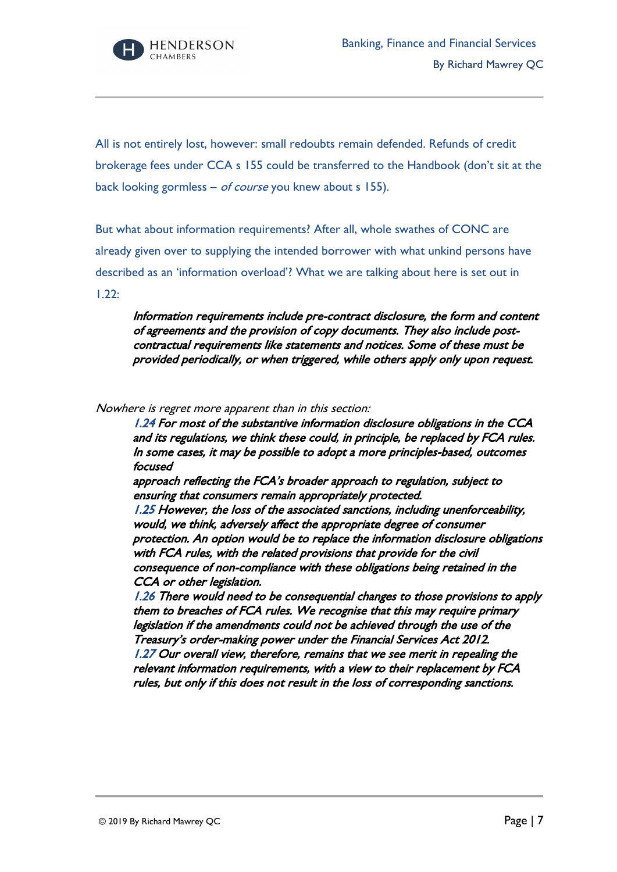

All is not entirely lost, however: small redoubts remain defended. Refunds of credit brokerage fees under CCA s 155 could be transferred to the Handbook (don't sit at the back looking gormless – of course you knew about s 155).

But what about information requirements? After all, whole swathes of CONC are already given over to supplying the intended borrower with what unkind persons have described as an 'information overload'? What we are talking about here is set out in 1.22:

Information requirements include pre-contract disclosure, the form and content of agreements and the provision of copy documents. They also include postcontractual requirements like statements and notices. Some of these must be provided periodically, or when triggered, while others apply only upon request.

Nowhere is regret more apparent than in this section:

1.24 For most of the substantive information disclosure obligations in the CCA and its regulations, we think these could, in principle, be replaced by FCA rules. In some cases, it may be possible to adopt a more principles-based, outcomes focused

approach reflecting the FCA's broader approach to regulation, subject to ensuring that consumers remain appropriately protected.

1.25 However, the loss of the associated sanctions, including unenforceability, would, we think, adversely affect the appropriate degree of consumer protection. An option would be to replace the information disclosure obligations with FCA rules, with the related provisions that provide for the civil consequence of non-compliance with these obligations being retained in the CCA or other legislation.

1.26 There would need to be consequential changes to those provisions to apply them to breaches of FCA rules. We recognise that this may require primary legislation if the amendments could not be achieved through the use of the Treasury's order-making power under the Financial Services Act 2012. 1.27 Our overall view, therefore, remains that we see merit in repealing the relevant information requirements, with a view to their replacement by FCA

rules, but only if this does not result in the loss of corresponding sanctions.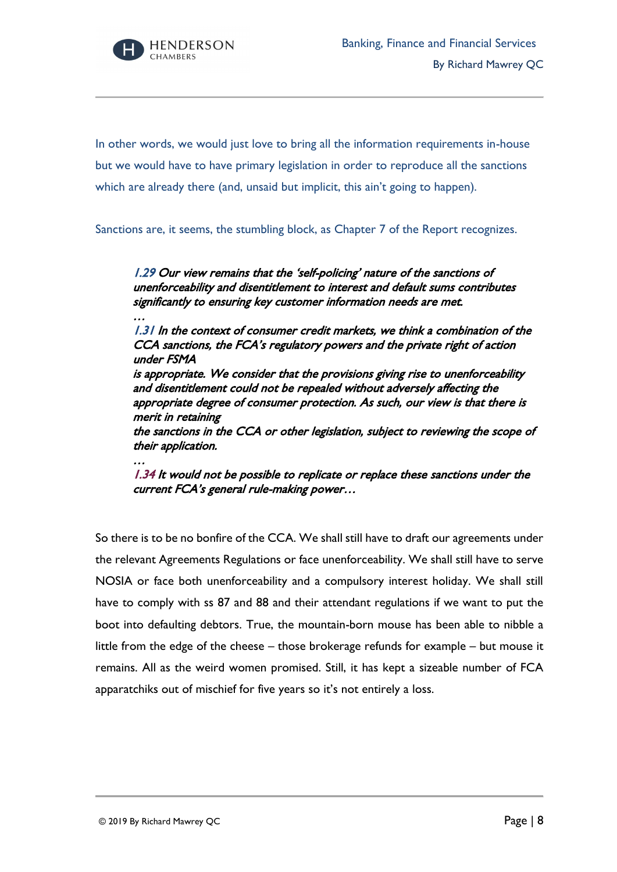

…

…

In other words, we would just love to bring all the information requirements in-house but we would have to have primary legislation in order to reproduce all the sanctions which are already there (and, unsaid but implicit, this ain't going to happen).

Sanctions are, it seems, the stumbling block, as Chapter 7 of the Report recognizes.

1.29 Our view remains that the 'self-policing' nature of the sanctions of unenforceability and disentitlement to interest and default sums contributes significantly to ensuring key customer information needs are met.

1.31 In the context of consumer credit markets, we think a combination of the CCA sanctions, the FCA's regulatory powers and the private right of action under FSMA

is appropriate. We consider that the provisions giving rise to unenforceability and disentitlement could not be repealed without adversely affecting the appropriate degree of consumer protection. As such, our view is that there is merit in retaining

the sanctions in the CCA or other legislation, subject to reviewing the scope of their application.

1.34 It would not be possible to replicate or replace these sanctions under the current FCA's general rule-making power…

So there is to be no bonfire of the CCA. We shall still have to draft our agreements under the relevant Agreements Regulations or face unenforceability. We shall still have to serve NOSIA or face both unenforceability and a compulsory interest holiday. We shall still have to comply with ss 87 and 88 and their attendant regulations if we want to put the boot into defaulting debtors. True, the mountain-born mouse has been able to nibble a little from the edge of the cheese – those brokerage refunds for example – but mouse it remains. All as the weird women promised. Still, it has kept a sizeable number of FCA apparatchiks out of mischief for five years so it's not entirely a loss.